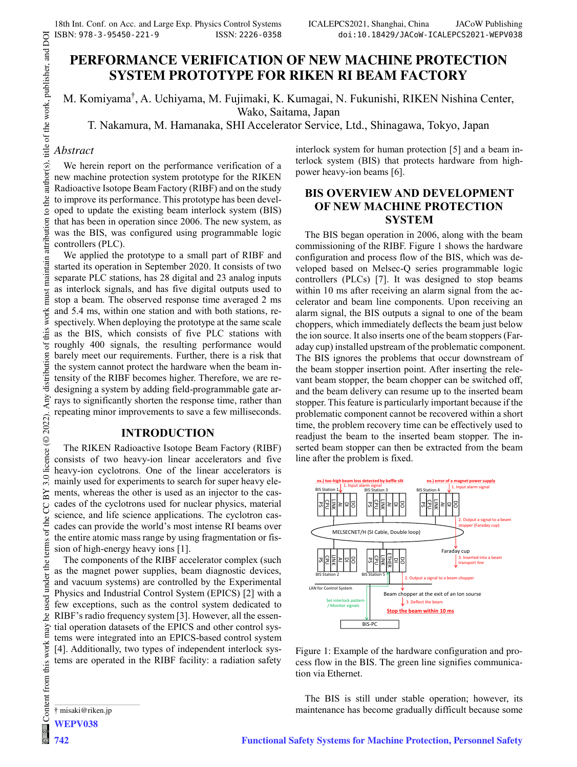# **PERFORMANCE VERIFICATION OF NEW MACHINE PROTECTION SYSTEM PROTOTYPE FOR RIKEN RI BEAM FACTORY**

M. Komiyama† , A. Uchiyama, M. Fujimaki, K. Kumagai, N. Fukunishi, RIKEN Nishina Center, Wako, Saitama, Japan

T. Nakamura, M. Hamanaka, SHI Accelerator Service, Ltd., Shinagawa, Tokyo, Japan

### *Abstract*

We herein report on the performance verification of a new machine protection system prototype for the RIKEN Radioactive Isotope Beam Factory (RIBF) and on the study to improve its performance. This prototype has been developed to update the existing beam interlock system (BIS) that has been in operation since 2006. The new system, as was the BIS, was configured using programmable logic controllers (PLC).

We applied the prototype to a small part of RIBF and started its operation in September 2020. It consists of two separate PLC stations, has 28 digital and 23 analog inputs as interlock signals, and has five digital outputs used to stop a beam. The observed response time averaged 2 ms and 5.4 ms, within one station and with both stations, respectively. When deploying the prototype at the same scale as the BIS, which consists of five PLC stations with roughly 400 signals, the resulting performance would barely meet our requirements. Further, there is a risk that the system cannot protect the hardware when the beam intensity of the RIBF becomes higher. Therefore, we are redesigning a system by adding field-programmable gate arrays to significantly shorten the response time, rather than repeating minor improvements to save a few milliseconds.

### **INTRODUCTION**

The RIKEN Radioactive Isotope Beam Factory (RIBF) consists of two heavy-ion linear accelerators and five heavy-ion cyclotrons. One of the linear accelerators is mainly used for experiments to search for super heavy elements, whereas the other is used as an injector to the cascades of the cyclotrons used for nuclear physics, material science, and life science applications. The cyclotron cascades can provide the world's most intense RI beams over the entire atomic mass range by using fragmentation or fission of high-energy heavy ions [1].

The components of the RIBF accelerator complex (such as the magnet power supplies, beam diagnostic devices, and vacuum systems) are controlled by the Experimental Physics and Industrial Control System (EPICS) [2] with a few exceptions, such as the control system dedicated to RIBF's radio frequency system [3]. However, all the essential operation datasets of the EPICS and other control systems were integrated into an EPICS-based control system [4]. Additionally, two types of independent interlock systems are operated in the RIBF facility: a radiation safety interlock system for human protection [5] and a beam interlock system (BIS) that protects hardware from highpower heavy-ion beams [6].

# **BIS OVERVIEW AND DEVELOPMENT OF NEW MACHINE PROTECTION SYSTEM**

The BIS began operation in 2006, along with the beam commissioning of the RIBF. Figure 1 shows the hardware configuration and process flow of the BIS, which was developed based on Melsec-Q series programmable logic controllers (PLCs) [7]. It was designed to stop beams within 10 ms after receiving an alarm signal from the accelerator and beam line components. Upon receiving an alarm signal, the BIS outputs a signal to one of the beam choppers, which immediately deflects the beam just below the ion source. It also inserts one of the beam stoppers (Faraday cup) installed upstream of the problematic component. The BIS ignores the problems that occur downstream of the beam stopper insertion point. After inserting the relevant beam stopper, the beam chopper can be switched off, and the beam delivery can resume up to the inserted beam stopper. This feature is particularly important because if the problematic component cannot be recovered within a short time, the problem recovery time can be effectively used to readjust the beam to the inserted beam stopper. The inserted beam stopper can then be extracted from the beam line after the problem is fixed.



Figure 1: Example of the hardware configuration and process flow in the BIS. The green line signifies communication via Ethernet.

The BIS is still under stable operation; however, its

\_\_\_\_\_\_\_\_\_\_\_\_\_\_\_\_\_\_\_\_\_\_\_\_\_\_\_\_\_\_\_\_\_\_\_\_\_\_\_\_\_\_\_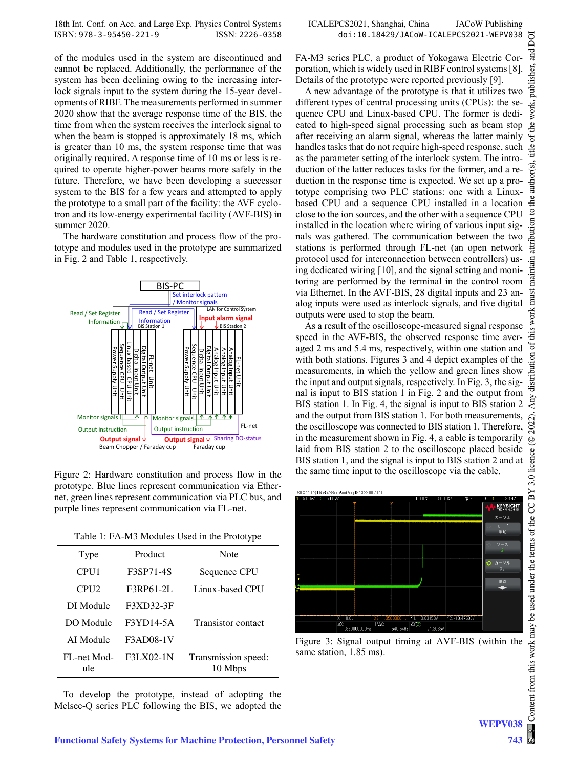of the modules used in the system are discontinued and cannot be replaced. Additionally, the performance of the system has been declining owing to the increasing interlock signals input to the system during the 15-year developments of RIBF. The measurements performed in summer 2020 show that the average response time of the BIS, the time from when the system receives the interlock signal to when the beam is stopped is approximately 18 ms, which is greater than 10 ms, the system response time that was originally required. A response time of 10 ms or less is required to operate higher-power beams more safely in the future. Therefore, we have been developing a successor system to the BIS for a few years and attempted to apply the prototype to a small part of the facility: the AVF cyclotron and its low-energy experimental facility (AVF-BIS) in summer 2020.

The hardware constitution and process flow of the prototype and modules used in the prototype are summarized in Fig. 2 and Table 1, respectively.



Figure 2: Hardware constitution and process flow in the prototype. Blue lines represent communication via Ethernet, green lines represent communication via PLC bus, and purple lines represent communication via FL-net.

| Table 1: FA-M3 Modules Used in the Prototype |  |
|----------------------------------------------|--|
|----------------------------------------------|--|

| Type               | Product   | Note                           |
|--------------------|-----------|--------------------------------|
| CPU <sub>1</sub>   | F3SP71-4S | Sequence CPU                   |
| CPI12              | F3RP61-2L | Linux-based CPU                |
| DI Module          | F3XD32-3F |                                |
| DO Module          | F3YD14-5A | <b>Transistor</b> contact      |
| AI Module          | F3AD08-1V |                                |
| FL-net Mod-<br>ule | F3LX02-1N | Transmission speed:<br>10 Mbps |

To develop the prototype, instead of adopting the Melsec-Q series PLC following the BIS, we adopted the FA-M3 series PLC, a product of Yokogawa Electric Corporation, which is widely used in RIBF control systems [8]. Details of the prototype were reported previously [9].

A new advantage of the prototype is that it utilizes two different types of central processing units (CPUs): the sequence CPU and Linux-based CPU. The former is dedicated to high-speed signal processing such as beam stop after receiving an alarm signal, whereas the latter mainly handles tasks that do not require high-speed response, such as the parameter setting of the interlock system. The introduction of the latter reduces tasks for the former, and a reduction in the response time is expected. We set up a prototype comprising two PLC stations: one with a Linuxbased CPU and a sequence CPU installed in a location close to the ion sources, and the other with a sequence CPU installed in the location where wiring of various input signals was gathered. The communication between the two stations is performed through FL-net (an open network protocol used for interconnection between controllers) using dedicated wiring [10], and the signal setting and monitoring are performed by the terminal in the control room via Ethernet. In the AVF-BIS, 28 digital inputs and 23 analog inputs were used as interlock signals, and five digital outputs were used to stop the beam.

As a result of the oscilloscope-measured signal response speed in the AVF-BIS, the observed response time averaged 2 ms and 5.4 ms, respectively, within one station and with both stations. Figures 3 and 4 depict examples of the measurements, in which the yellow and green lines show the input and output signals, respectively. In Fig. 3, the signal is input to BIS station 1 in Fig. 2 and the output from BIS station 1. In Fig. 4, the signal is input to BIS station 2 and the output from BIS station 1. For both measurements, the oscilloscope was connected to BIS station 1. Therefore, in the measurement shown in Fig. 4, a cable is temporarily laid from BIS station 2 to the oscilloscope placed beside BIS station 1, and the signal is input to BIS station 2 and at the same time input to the oscilloscope via the cable.



Figure 3: Signal output timing at AVF-BIS (within the same station, 1.85 ms).

WEPV038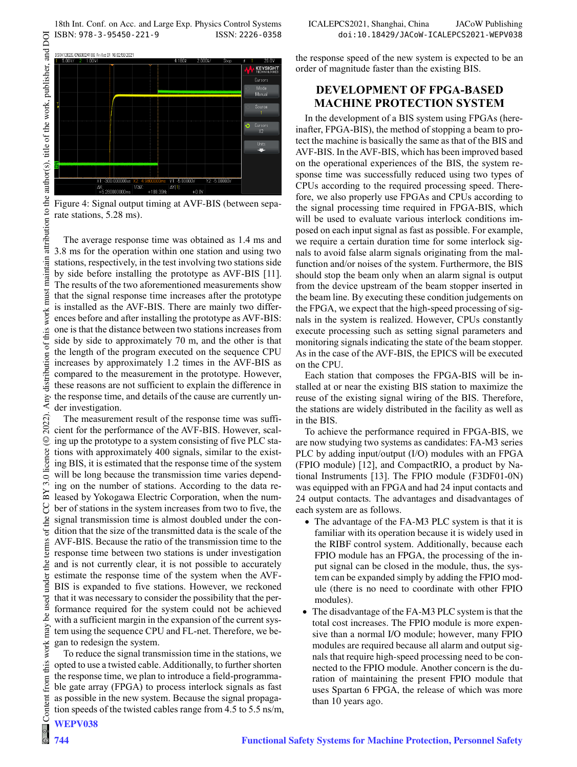18th Int. Conf. on Acc. and Large Exp. Physics Control Systems ICALEPCS2021, Shanghai, China JACoW Publishing<br>1918-19-18th: ISBN: 978-3-95450-221-9 ISSN: 2226-0358 doi:10.18429/JACoW-ICALEPCS2021-WEPV038 ISBN: 978-3-95450-221-9 ISSN: 2226-0358 doi:10.18429/JACoW-ICALEPCS2021-WEPV038



Figure 4: Signal output timing at AVF-BIS (between separate stations, 5.28 ms).

The average response time was obtained as 1.4 ms and 3.8 ms for the operation within one station and using two stations, respectively, in the test involving two stations side by side before installing the prototype as AVF-BIS [11]. The results of the two aforementioned measurements show that the signal response time increases after the prototype is installed as the AVF-BIS. There are mainly two differences before and after installing the prototype as AVF-BIS: one is that the distance between two stations increases from side by side to approximately 70 m, and the other is that the length of the program executed on the sequence CPU increases by approximately 1.2 times in the AVF-BIS as compared to the measurement in the prototype. However, these reasons are not sufficient to explain the difference in the response time, and details of the cause are currently under investigation.

The measurement result of the response time was sufficient for the performance of the AVF-BIS. However, scaling up the prototype to a system consisting of five PLC stations with approximately 400 signals, similar to the existing BIS, it is estimated that the response time of the system will be long because the transmission time varies depending on the number of stations. According to the data released by Yokogawa Electric Corporation, when the number of stations in the system increases from two to five, the signal transmission time is almost doubled under the condition that the size of the transmitted data is the scale of the AVF-BIS. Because the ratio of the transmission time to the response time between two stations is under investigation and is not currently clear, it is not possible to accurately estimate the response time of the system when the AVF-BIS is expanded to five stations. However, we reckoned that it was necessary to consider the possibility that the performance required for the system could not be achieved with a sufficient margin in the expansion of the current system using the sequence CPU and FL-net. Therefore, we began to redesign the system.

To reduce the signal transmission time in the stations, we opted to use a twisted cable. Additionally, to further shorten the response time, we plan to introduce a field-programmable gate array (FPGA) to process interlock signals as fast as possible in the new system. Because the signal propagation speeds of the twisted cables range from 4.5 to 5.5 ns/m, the response speed of the new system is expected to be an order of magnitude faster than the existing BIS.

## **DEVELOPMENT OF FPGA-BASED MACHINE PROTECTION SYSTEM**

In the development of a BIS system using FPGAs (hereinafter, FPGA-BIS), the method of stopping a beam to protect the machine is basically the same as that of the BIS and AVF-BIS. In the AVF-BIS, which has been improved based on the operational experiences of the BIS, the system response time was successfully reduced using two types of CPUs according to the required processing speed. Therefore, we also properly use FPGAs and CPUs according to the signal processing time required in FPGA-BIS, which will be used to evaluate various interlock conditions imposed on each input signal as fast as possible. For example, we require a certain duration time for some interlock signals to avoid false alarm signals originating from the malfunction and/or noises of the system. Furthermore, the BIS should stop the beam only when an alarm signal is output from the device upstream of the beam stopper inserted in the beam line. By executing these condition judgements on the FPGA, we expect that the high-speed processing of signals in the system is realized. However, CPUs constantly execute processing such as setting signal parameters and monitoring signals indicating the state of the beam stopper. As in the case of the AVF-BIS, the EPICS will be executed on the CPU.

Each station that composes the FPGA-BIS will be installed at or near the existing BIS station to maximize the reuse of the existing signal wiring of the BIS. Therefore, the stations are widely distributed in the facility as well as in the BIS.

To achieve the performance required in FPGA-BIS, we are now studying two systems as candidates: FA-M3 series PLC by adding input/output (I/O) modules with an FPGA (FPIO module) [12], and CompactRIO, a product by National Instruments [13]. The FPIO module (F3DF01-0N) was equipped with an FPGA and had 24 input contacts and 24 output contacts. The advantages and disadvantages of each system are as follows.

- The advantage of the FA-M3 PLC system is that it is familiar with its operation because it is widely used in the RIBF control system. Additionally, because each FPIO module has an FPGA, the processing of the input signal can be closed in the module, thus, the system can be expanded simply by adding the FPIO module (there is no need to coordinate with other FPIO modules).
- The disadvantage of the FA-M3 PLC system is that the total cost increases. The FPIO module is more expensive than a normal I/O module; however, many FPIO modules are required because all alarm and output signals that require high-speed processing need to be connected to the FPIO module. Another concern is the duration of maintaining the present FPIO module that uses Spartan 6 FPGA, the release of which was more than 10 years ago.